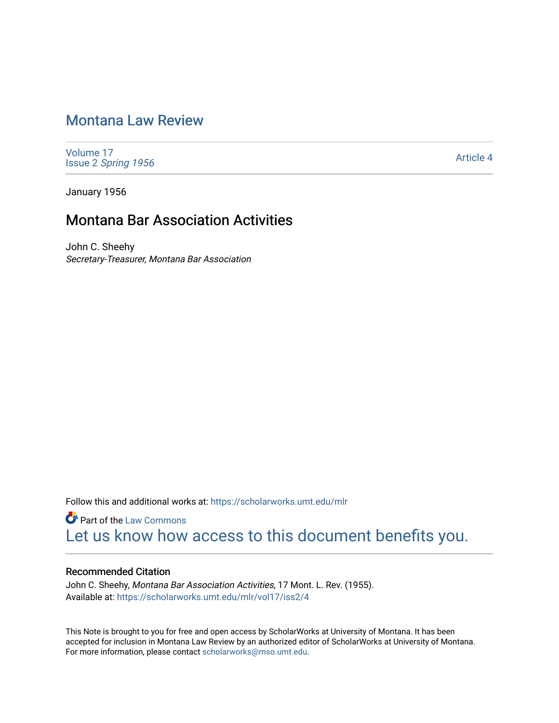# [Montana Law Review](https://scholarworks.umt.edu/mlr)

[Volume 17](https://scholarworks.umt.edu/mlr/vol17) Issue 2 [Spring 1956](https://scholarworks.umt.edu/mlr/vol17/iss2) 

[Article 4](https://scholarworks.umt.edu/mlr/vol17/iss2/4) 

January 1956

## Montana Bar Association Activities

John C. Sheehy Secretary-Treasurer, Montana Bar Association

Follow this and additional works at: [https://scholarworks.umt.edu/mlr](https://scholarworks.umt.edu/mlr?utm_source=scholarworks.umt.edu%2Fmlr%2Fvol17%2Fiss2%2F4&utm_medium=PDF&utm_campaign=PDFCoverPages) 

**Part of the [Law Commons](http://network.bepress.com/hgg/discipline/578?utm_source=scholarworks.umt.edu%2Fmlr%2Fvol17%2Fiss2%2F4&utm_medium=PDF&utm_campaign=PDFCoverPages)** [Let us know how access to this document benefits you.](https://goo.gl/forms/s2rGfXOLzz71qgsB2) 

## Recommended Citation

John C. Sheehy, Montana Bar Association Activities, 17 Mont. L. Rev. (1955). Available at: [https://scholarworks.umt.edu/mlr/vol17/iss2/4](https://scholarworks.umt.edu/mlr/vol17/iss2/4?utm_source=scholarworks.umt.edu%2Fmlr%2Fvol17%2Fiss2%2F4&utm_medium=PDF&utm_campaign=PDFCoverPages) 

This Note is brought to you for free and open access by ScholarWorks at University of Montana. It has been accepted for inclusion in Montana Law Review by an authorized editor of ScholarWorks at University of Montana. For more information, please contact [scholarworks@mso.umt.edu.](mailto:scholarworks@mso.umt.edu)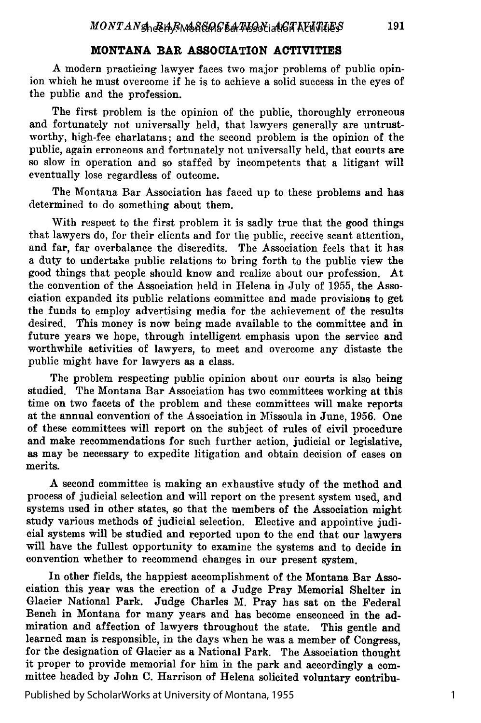### **MONTANA BAR ASSOCIATION ACTIVITIES**

**A** modern practicing lawyer faces two major problems of public opinion which he must overcome if he is to achieve a solid success in the eyes of the public and the profession.

The first problem is the opinion of the public, thoroughly erroneous and fortunately not universally held, that lawyers generally are untrustworthy, high-fee charlatans; and the second problem is the opinion of the public, again erroneous and fortunately not universally held, that courts are so slow in operation and so staffed **by** incompetents that a litigant will eventually lose regardless of outcome.

The Montana Bar Association has faced up to these problems and has determined to do something about them.

With respect to the first problem it is sadly true that the good things that lawyers do, for their clients and for the public, receive scant attention, and far, far overbalance the discredits. The Association feels that it has a duty to undertake public relations to bring forth to the public view the good things that people should know and realize about our profession. At the convention of the Association held in Helena in July of **1955,** the Association expanded its public relations committee and made provisions to get the funds to employ advertising media for the achievement of the results desired. This money is now being made available to the committee and in future years we hope, through intelligent emphasis upon the service and worthwhile activities of lawyers, to meet and overcome any distaste the public might have for lawyers as a class.

The problem respecting public opinion about our courts is also being studied. The Montana Bar Association has two committees working at this time on two facets of the problem and these committees will make reports at the annual convention of the Association in Missoula in June, 1956. One of these committees will report on the subject of rules of civil procedure and make recommendations for such further action, judicial or legislative, as may be necessary to expedite litigation and obtain decision of cases on merits.

A second committee is making an exhaustive study of the method and process of judicial selection and will report on the present system used, and systems used in other states, so that the members of the Association might study various methods of judicial selection. Elective and appointive judicial systems will be studied and reported upon to the end that our lawyers will have the fullest opportunity to examine the systems and to decide in convention whether to recommend changes in our present system.

In other fields, the happiest accomplishment of the Montana Bar Association this year was the erection of a Judge Pray Memorial Shelter in Glacier National Park. Judge Charles M. Pray has sat on the Federal Bench in Montana for many years and has become ensconced in the admiration and affection of lawyers throughout the state. This gentle and learned man is responsible, in the days when he was a member of Congress, for the designation of Glacier as a National Park. The Association thought it proper to provide memorial for him in the park and accordingly a committee headed by John C. Harrison of Helena solicited voluntary contribu